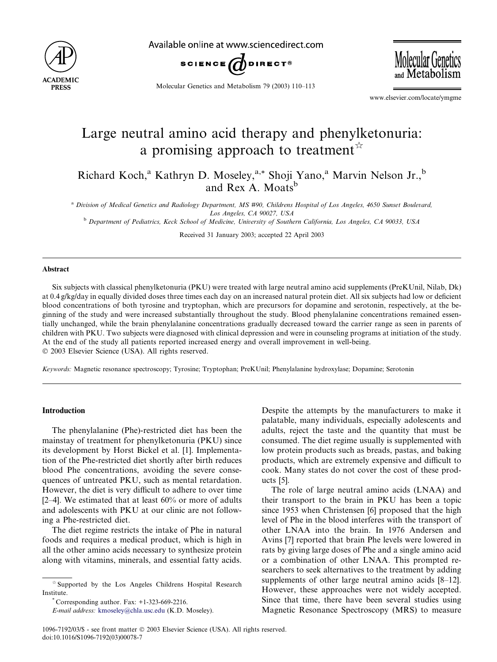

Available online at www.sciencedirect.com





Molecular Genetics and Metabolism 79 (2003) 110–113

www.elsevier.com/locate/ymgme

# Large neutral amino acid therapy and phenylketonuria: a promising approach to treatment  $\overrightarrow{r}$

Richard Koch,<sup>a</sup> Kathryn D. Moseley,<sup>a,\*</sup> Shoji Yano,<sup>a</sup> Marvin Nelson Jr.,<sup>b</sup> and Rex A. Moats<sup>b</sup>

<sup>a</sup> Division of Medical Genetics and Radiology Department, MS #90, Childrens Hospital of Los Angeles, 4650 Sunset Boulevard, Los Angeles, CA 90027, USA

<sup>b</sup> Department of Pediatrics, Keck School of Medicine, University of Southern California, Los Angeles, CA 90033, USA

Received 31 January 2003; accepted 22 April 2003

#### Abstract

Six subjects with classical phenylketonuria (PKU) were treated with large neutral amino acid supplements (PreKUnil, Nilab, Dk) at 0.4 g/kg/day in equally divided doses three times each day on an increased natural protein diet. All six subjects had low or deficient blood concentrations of both tyrosine and tryptophan, which are precursors for dopamine and serotonin, respectively, at the beginning of the study and were increased substantially throughout the study. Blood phenylalanine concentrations remained essentially unchanged, while the brain phenylalanine concentrations gradually decreased toward the carrier range as seen in parents of children with PKU. Two subjects were diagnosed with clinical depression and were in counseling programs at initiation of the study. At the end of the study all patients reported increased energy and overall improvement in well-being. 2003 Elsevier Science (USA). All rights reserved.

Keywords: Magnetic resonance spectroscopy; Tyrosine; Tryptophan; PreKUnil; Phenylalanine hydroxylase; Dopamine; Serotonin

## Introduction

The phenylalanine (Phe)-restricted diet has been the mainstay of treatment for phenylketonuria (PKU) since its development by Horst Bickel et al. [1]. Implementation of the Phe-restricted diet shortly after birth reduces blood Phe concentrations, avoiding the severe consequences of untreated PKU, such as mental retardation. However, the diet is very difficult to adhere to over time  $[2-4]$ . We estimated that at least  $60\%$  or more of adults and adolescents with PKU at our clinic are not following a Phe-restricted diet.

The diet regime restricts the intake of Phe in natural foods and requires a medical product, which is high in all the other amino acids necessary to synthesize protein along with vitamins, minerals, and essential fatty acids.

 $^*$  Corresponding author. Fax:  $+1-323-669-2216$ .

Despite the attempts by the manufacturers to make it palatable, many individuals, especially adolescents and adults, reject the taste and the quantity that must be consumed. The diet regime usually is supplemented with low protein products such as breads, pastas, and baking products, which are extremely expensive and difficult to cook. Many states do not cover the cost of these products [5].

The role of large neutral amino acids (LNAA) and their transport to the brain in PKU has been a topic since 1953 when Christensen [6] proposed that the high level of Phe in the blood interferes with the transport of other LNAA into the brain. In 1976 Andersen and Avins [7] reported that brain Phe levels were lowered in rats by giving large doses of Phe and a single amino acid or a combination of other LNAA. This prompted researchers to seek alternatives to the treatment by adding supplements of other large neutral amino acids [8–12]. However, these approaches were not widely accepted. Since that time, there have been several studies using Magnetic Resonance Spectroscopy (MRS) to measure

 $\stackrel{\scriptscriptstyle{\triangle}}{ }$  Supported by the Los Angeles Childrens Hospital Research Institute.

E-mail address: [kmoseley@chla.usc.edu](mail to: kmoseley@chla.usc.edu) (K.D. Moseley).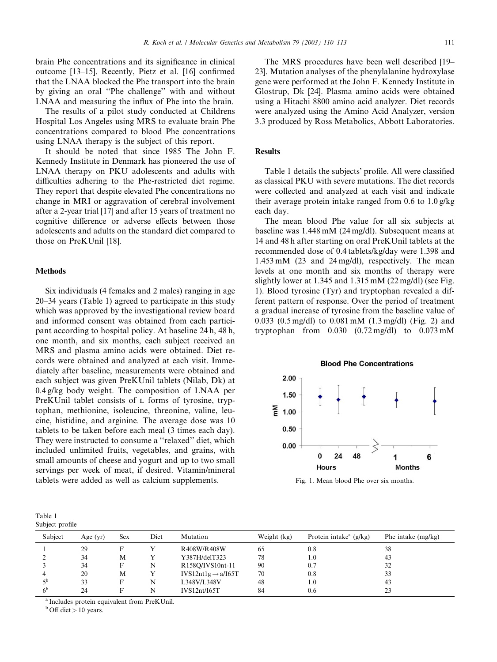brain Phe concentrations and its significance in clinical outcome [13–15]. Recently, Pietz et al. [16] confirmed that the LNAA blocked the Phe transport into the brain by giving an oral ''Phe challenge'' with and without LNAA and measuring the influx of Phe into the brain.

The results of a pilot study conducted at Childrens Hospital Los Angeles using MRS to evaluate brain Phe concentrations compared to blood Phe concentrations using LNAA therapy is the subject of this report.

It should be noted that since 1985 The John F. Kennedy Institute in Denmark has pioneered the use of LNAA therapy on PKU adolescents and adults with difficulties adhering to the Phe-restricted diet regime. They report that despite elevated Phe concentrations no change in MRI or aggravation of cerebral involvement after a 2-year trial [17] and after 15 years of treatment no cognitive difference or adverse effects between those adolescents and adults on the standard diet compared to those on PreKUnil [18].

## **Methods**

Six individuals (4 females and 2 males) ranging in age 20–34 years (Table 1) agreed to participate in this study which was approved by the investigational review board and informed consent was obtained from each participant according to hospital policy. At baseline 24 h, 48 h, one month, and six months, each subject received an MRS and plasma amino acids were obtained. Diet records were obtained and analyzed at each visit. Immediately after baseline, measurements were obtained and each subject was given PreKUnil tablets (Nilab, Dk) at 0.4 g/kg body weight. The composition of LNAA per PreKUnil tablet consists of L forms of tyrosine, tryptophan, methionine, isoleucine, threonine, valine, leucine, histidine, and arginine. The average dose was 10 tablets to be taken before each meal (3 times each day). They were instructed to consume a ''relaxed'' diet, which included unlimited fruits, vegetables, and grains, with small amounts of cheese and yogurt and up to two small servings per week of meat, if desired. Vitamin/mineral tablets were added as well as calcium supplements.

| Table 1         |  |
|-----------------|--|
| Subject profile |  |

The MRS procedures have been well described [19– 23]. Mutation analyses of the phenylalanine hydroxylase gene were performed at the John F. Kennedy Institute in Glostrup, Dk [24]. Plasma amino acids were obtained using a Hitachi 8800 amino acid analyzer. Diet records were analyzed using the Amino Acid Analyzer, version 3.3 produced by Ross Metabolics, Abbott Laboratories.

#### **Results**

Table 1 details the subjects' profile. All were classified as classical PKU with severe mutations. The diet records were collected and analyzed at each visit and indicate their average protein intake ranged from 0.6 to 1.0 g/kg each day.

The mean blood Phe value for all six subjects at baseline was 1.448 mM (24 mg/dl). Subsequent means at 14 and 48 h after starting on oral PreKUnil tablets at the recommended dose of 0.4 tablets/kg/day were 1.398 and 1.453 mM (23 and 24 mg/dl), respectively. The mean levels at one month and six months of therapy were slightly lower at 1.345 and 1.315 mM (22 mg/dl) (see Fig. 1). Blood tyrosine (Tyr) and tryptophan revealed a different pattern of response. Over the period of treatment a gradual increase of tyrosine from the baseline value of 0.033 (0.5 mg/dl) to 0.081 mM (1.3 mg/dl) (Fig. 2) and tryptophan from  $0.030$   $(0.72 \text{ mg/dl})$  to  $0.073 \text{ mM}$ 



Fig. 1. Mean blood Phe over six months.

| Jubico promo   |            |            |      |                                |             |                                      |                      |  |  |  |  |  |
|----------------|------------|------------|------|--------------------------------|-------------|--------------------------------------|----------------------|--|--|--|--|--|
| Subject        | Age $(yr)$ | <b>Sex</b> | Diet | Mutation                       | Weight (kg) | Protein intake <sup>a</sup> $(g/kg)$ | Phe intake $(mg/kg)$ |  |  |  |  |  |
|                | 29         |            |      | R408W/R408W                    | 65          | 0.8                                  | 38                   |  |  |  |  |  |
|                | 34         | M          |      | Y387H/delT323                  | 78          | 1.0                                  | 43                   |  |  |  |  |  |
|                | 34         |            | N    | R158Q/IVS10nt-11               | 90          | 0.7                                  | 32                   |  |  |  |  |  |
|                | 20         | М          |      | $IVS12nt1g \rightarrow a/I65T$ | 70          | 0.8                                  | 33                   |  |  |  |  |  |
| ςb             | 33         |            | N    | L348V/L348V                    | 48          | 1.0                                  | 43                   |  |  |  |  |  |
| 6 <sup>b</sup> | 24         |            | N    | IVS12nt/IG5T                   | 84          | 0.6                                  | 23                   |  |  |  |  |  |
|                |            |            |      |                                |             |                                      |                      |  |  |  |  |  |

<sup>a</sup> Includes protein equivalent from PreKUnil.

 $b$  Off diet  $> 10$  years.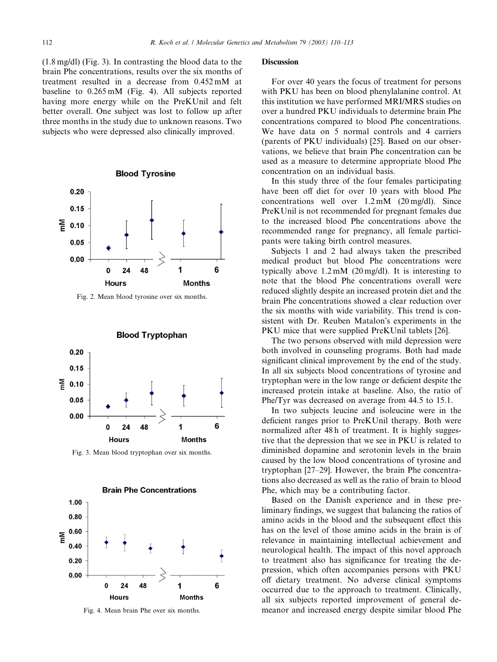(1.8 mg/dl) (Fig. 3). In contrasting the blood data to the brain Phe concentrations, results over the six months of treatment resulted in a decrease from 0.452 mM at baseline to 0.265 mM (Fig. 4). All subjects reported having more energy while on the PreKUnil and felt better overall. One subject was lost to follow up after three months in the study due to unknown reasons. Two subjects who were depressed also clinically improved.



Fig. 2. Mean blood tyrosine over six months.



Fig. 3. Mean blood tryptophan over six months.



Fig. 4. Mean brain Phe over six months.

#### **Discussion**

For over 40 years the focus of treatment for persons with PKU has been on blood phenylalanine control. At this institution we have performed MRI/MRS studies on over a hundred PKU individuals to determine brain Phe concentrations compared to blood Phe concentrations. We have data on 5 normal controls and 4 carriers (parents of PKU individuals) [25]. Based on our observations, we believe that brain Phe concentration can be used as a measure to determine appropriate blood Phe concentration on an individual basis.

In this study three of the four females participating have been off diet for over 10 years with blood Phe concentrations well over 1.2 mM (20 mg/dl). Since PreKUnil is not recommended for pregnant females due to the increased blood Phe concentrations above the recommended range for pregnancy, all female participants were taking birth control measures.

Subjects 1 and 2 had always taken the prescribed medical product but blood Phe concentrations were typically above 1.2 mM (20 mg/dl). It is interesting to note that the blood Phe concentrations overall were reduced slightly despite an increased protein diet and the brain Phe concentrations showed a clear reduction over the six months with wide variability. This trend is consistent with Dr. Reuben Matalon's experiments in the PKU mice that were supplied PreKUnil tablets [26].

The two persons observed with mild depression were both involved in counseling programs. Both had made significant clinical improvement by the end of the study. In all six subjects blood concentrations of tyrosine and tryptophan were in the low range or deficient despite the increased protein intake at baseline. Also, the ratio of Phe/Tyr was decreased on average from 44.5 to 15.1.

In two subjects leucine and isoleucine were in the deficient ranges prior to PreKUnil therapy. Both were normalized after 48 h of treatment. It is highly suggestive that the depression that we see in PKU is related to diminished dopamine and serotonin levels in the brain caused by the low blood concentrations of tyrosine and tryptophan [27–29]. However, the brain Phe concentrations also decreased as well as the ratio of brain to blood Phe, which may be a contributing factor.

Based on the Danish experience and in these preliminary findings, we suggest that balancing the ratios of amino acids in the blood and the subsequent effect this has on the level of those amino acids in the brain is of relevance in maintaining intellectual achievement and neurological health. The impact of this novel approach to treatment also has significance for treating the depression, which often accompanies persons with PKU off dietary treatment. No adverse clinical symptoms occurred due to the approach to treatment. Clinically, all six subjects reported improvement of general demeanor and increased energy despite similar blood Phe